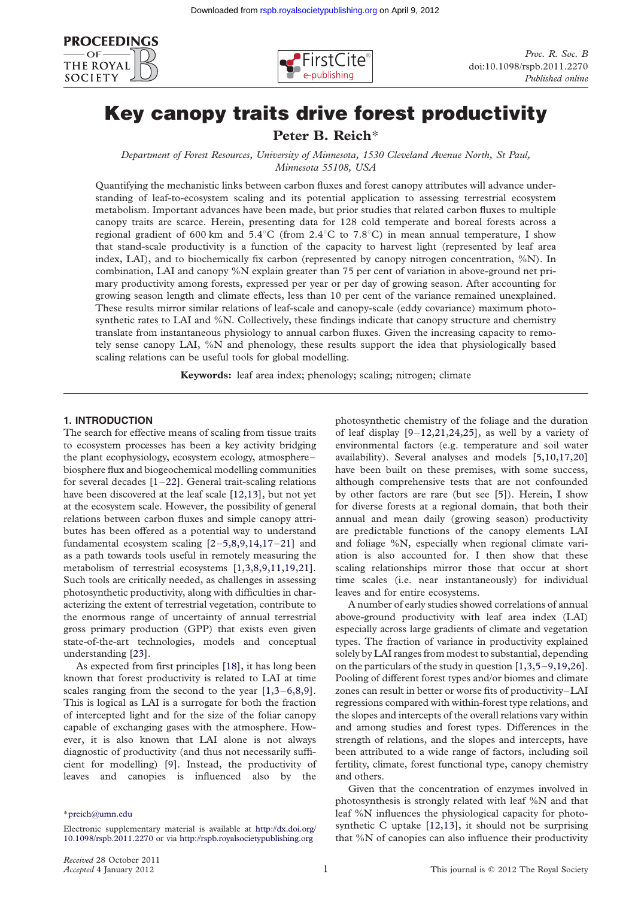



# Key canopy traits drive forest productivity

# Peter B. Reich\*

Department of Forest Resources, University of Minnesota, 1530 Cleveland Avenue North, St Paul, Minnesota 55108, USA

Quantifying the mechanistic links between carbon fluxes and forest canopy attributes will advance understanding of leaf-to-ecosystem scaling and its potential application to assessing terrestrial ecosystem metabolism. Important advances have been made, but prior studies that related carbon fluxes to multiple canopy traits are scarce. Herein, presenting data for 128 cold temperate and boreal forests across a regional gradient of 600 km and 5.4 $\degree$ C (from 2.4 $\degree$ C to 7.8 $\degree$ C) in mean annual temperature, I show that stand-scale productivity is a function of the capacity to harvest light (represented by leaf area index, LAI), and to biochemically fix carbon (represented by canopy nitrogen concentration, %N). In combination, LAI and canopy %N explain greater than 75 per cent of variation in above-ground net primary productivity among forests, expressed per year or per day of growing season. After accounting for growing season length and climate effects, less than 10 per cent of the variance remained unexplained. These results mirror similar relations of leaf-scale and canopy-scale (eddy covariance) maximum photosynthetic rates to LAI and %N. Collectively, these findings indicate that canopy structure and chemistry translate from instantaneous physiology to annual carbon fluxes. Given the increasing capacity to remotely sense canopy LAI, %N and phenology, these results support the idea that physiologically based scaling relations can be useful tools for global modelling.

Keywords: leaf area index; phenology; scaling; nitrogen; climate

## 1. INTRODUCTION

The search for effective means of scaling from tissue traits to ecosystem processes has been a key activity bridging the plant ecophysiology, ecosystem ecology, atmosphere– biosphere flux and biogeochemical modelling communities for several decades  $[1–22]$  $[1–22]$  $[1–22]$ . General trait-scaling relations have been discovered at the leaf scale [[12,13](#page-5-0)], but not yet at the ecosystem scale. However, the possibility of general relations between carbon fluxes and simple canopy attributes has been offered as a potential way to understand fundamental ecosystem scaling  $[2-5,8,9,14,17-21]$  $[2-5,8,9,14,17-21]$  $[2-5,8,9,14,17-21]$  $[2-5,8,9,14,17-21]$  $[2-5,8,9,14,17-21]$  $[2-5,8,9,14,17-21]$  $[2-5,8,9,14,17-21]$  $[2-5,8,9,14,17-21]$  $[2-5,8,9,14,17-21]$  $[2-5,8,9,14,17-21]$  $[2-5,8,9,14,17-21]$  $[2-5,8,9,14,17-21]$  and as a path towards tools useful in remotely measuring the metabolism of terrestrial ecosystems [[1,3,8,9,11,19](#page-5-0),[21](#page-5-0)]. Such tools are critically needed, as challenges in assessing photosynthetic productivity, along with difficulties in characterizing the extent of terrestrial vegetation, contribute to the enormous range of uncertainty of annual terrestrial gross primary production (GPP) that exists even given state-of-the-art technologies, models and conceptual understanding [[23](#page-5-0)].

As expected from first principles [[18](#page-5-0)], it has long been known that forest productivity is related to LAI at time scales ranging from the second to the year  $[1,3-6,8,9]$  $[1,3-6,8,9]$  $[1,3-6,8,9]$  $[1,3-6,8,9]$  $[1,3-6,8,9]$  $[1,3-6,8,9]$  $[1,3-6,8,9]$  $[1,3-6,8,9]$  $[1,3-6,8,9]$  $[1,3-6,8,9]$  $[1,3-6,8,9]$ . This is logical as LAI is a surrogate for both the fraction of intercepted light and for the size of the foliar canopy capable of exchanging gases with the atmosphere. However, it is also known that LAI alone is not always diagnostic of productivity (and thus not necessarily sufficient for modelling) [[9\]](#page-5-0). Instead, the productivity of leaves and canopies is influenced also by the

\*[preich@umn.edu](mailto:preich@umn.edu)

photosynthetic chemistry of the foliage and the duration of leaf display  $[9-12,21,24,25]$  $[9-12,21,24,25]$  $[9-12,21,24,25]$  $[9-12,21,24,25]$  $[9-12,21,24,25]$  $[9-12,21,24,25]$ , as well by a variety of environmental factors (e.g. temperature and soil water availability). Several analyses and models [[5](#page-5-0),[10,17,20\]](#page-5-0) have been built on these premises, with some success, although comprehensive tests that are not confounded by other factors are rare (but see [\[5](#page-5-0)]). Herein, I show for diverse forests at a regional domain, that both their annual and mean daily (growing season) productivity are predictable functions of the canopy elements LAI and foliage %N, especially when regional climate variation is also accounted for. I then show that these scaling relationships mirror those that occur at short time scales (i.e. near instantaneously) for individual leaves and for entire ecosystems.

A number of early studies showed correlations of annual above-ground productivity with leaf area index (LAI) especially across large gradients of climate and vegetation types. The fraction of variance in productivity explained solely by LAI ranges from modest to substantial, depending on the particulars of the study in question [\[1,3](#page-5-0),[5](#page-5-0)–[9,19](#page-5-0),[26](#page-5-0)]. Pooling of different forest types and/or biomes and climate zones can result in better or worse fits of productivity–LAI regressions compared with within-forest type relations, and the slopes and intercepts of the overall relations vary within and among studies and forest types. Differences in the strength of relations, and the slopes and intercepts, have been attributed to a wide range of factors, including soil fertility, climate, forest functional type, canopy chemistry and others.

Given that the concentration of enzymes involved in photosynthesis is strongly related with leaf %N and that leaf %N influences the physiological capacity for photosynthetic C uptake [[12](#page-5-0),[13](#page-5-0)], it should not be surprising that %N of canopies can also influence their productivity

Electronic supplementary material is available at [http://dx.doi.org/](http://dx.doi.org/10.1098/rspb.2011.2270) [10.1098/rspb.2011.2270](http://dx.doi.org/10.1098/rspb.2011.2270) or via <http://rspb.royalsocietypublishing.org>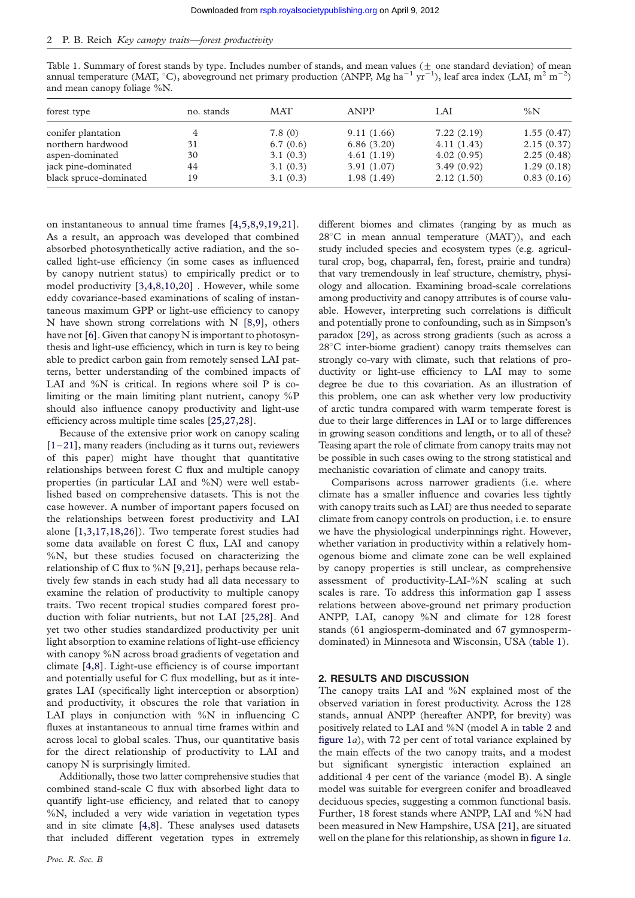<span id="page-1-0"></span>Table 1. Summary of forest stands by type. Includes number of stands, and mean values  $(\pm$  one standard deviation) of mean annual temperature (MAT, °C), aboveground net primary production (ANPP, Mg ha<sup>-1</sup> yr<sup>-1</sup>), leaf area index (LAI, m<sup>2</sup> m<sup>-2</sup>) and mean canopy foliage %N.

| forest type            | no. stands | <b>MAT</b> | <b>ANPP</b> | LAI        | $\%N$      |
|------------------------|------------|------------|-------------|------------|------------|
| conifer plantation     |            | 7.8(0)     | 9.11(1.66)  | 7.22(2.19) | 1.55(0.47) |
| northern hardwood      | 31         | 6.7(0.6)   | 6.86(3.20)  | 4.11(1.43) | 2.15(0.37) |
| aspen-dominated        | 30         | 3.1(0.3)   | 4.61(1.19)  | 4.02(0.95) | 2.25(0.48) |
| jack pine-dominated    | 44         | 3.1(0.3)   | 3.91(1.07)  | 3.49(0.92) | 1.29(0.18) |
| black spruce-dominated | 19         | 3.1(0.3)   | 1.98(1.49)  | 2.12(1.50) | 0.83(0.16) |

on instantaneous to annual time frames [\[4,5,8,9,19](#page-5-0),[21](#page-5-0)]. As a result, an approach was developed that combined absorbed photosynthetically active radiation, and the socalled light-use efficiency (in some cases as influenced by canopy nutrient status) to empirically predict or to model productivity [[3](#page-5-0),[4](#page-5-0),[8,10,20\]](#page-5-0) . However, while some eddy covariance-based examinations of scaling of instantaneous maximum GPP or light-use efficiency to canopy N have shown strong correlations with N [[8,9\]](#page-5-0), others have not [[6\]](#page-5-0). Given that canopy N is important to photosynthesis and light-use efficiency, which in turn is key to being able to predict carbon gain from remotely sensed LAI patterns, better understanding of the combined impacts of LAI and %N is critical. In regions where soil P is colimiting or the main limiting plant nutrient, canopy %P should also influence canopy productivity and light-use efficiency across multiple time scales [[25](#page-5-0),[27](#page-5-0),[28](#page-5-0)].

Because of the extensive prior work on canopy scaling  $[1–21]$  $[1–21]$  $[1–21]$ , many readers (including as it turns out, reviewers of this paper) might have thought that quantitative relationships between forest C flux and multiple canopy properties (in particular LAI and %N) were well established based on comprehensive datasets. This is not the case however. A number of important papers focused on the relationships between forest productivity and LAI alone [\[1,3,17,18,26](#page-5-0)]). Two temperate forest studies had some data available on forest C flux, LAI and canopy %N, but these studies focused on characterizing the relationship of C flux to %N [[9,21](#page-5-0)], perhaps because relatively few stands in each study had all data necessary to examine the relation of productivity to multiple canopy traits. Two recent tropical studies compared forest production with foliar nutrients, but not LAI [\[25,28\]](#page-5-0). And yet two other studies standardized productivity per unit light absorption to examine relations of light-use efficiency with canopy %N across broad gradients of vegetation and climate [\[4,8\]](#page-5-0). Light-use efficiency is of course important and potentially useful for C flux modelling, but as it integrates LAI (specifically light interception or absorption) and productivity, it obscures the role that variation in LAI plays in conjunction with %N in influencing C fluxes at instantaneous to annual time frames within and across local to global scales. Thus, our quantitative basis for the direct relationship of productivity to LAI and canopy N is surprisingly limited.

Additionally, those two latter comprehensive studies that combined stand-scale C flux with absorbed light data to quantify light-use efficiency, and related that to canopy %N, included a very wide variation in vegetation types and in site climate [\[4,8](#page-5-0)]. These analyses used datasets that included different vegetation types in extremely

different biomes and climates (ranging by as much as  $28^{\circ}$ C in mean annual temperature (MAT)), and each study included species and ecosystem types (e.g. agricultural crop, bog, chaparral, fen, forest, prairie and tundra) that vary tremendously in leaf structure, chemistry, physiology and allocation. Examining broad-scale correlations among productivity and canopy attributes is of course valuable. However, interpreting such correlations is difficult and potentially prone to confounding, such as in Simpson's paradox [\[29](#page-5-0)], as across strong gradients (such as across a  $28^{\circ}$ C inter-biome gradient) canopy traits themselves can strongly co-vary with climate, such that relations of productivity or light-use efficiency to LAI may to some degree be due to this covariation. As an illustration of this problem, one can ask whether very low productivity of arctic tundra compared with warm temperate forest is due to their large differences in LAI or to large differences in growing season conditions and length, or to all of these? Teasing apart the role of climate from canopy traits may not be possible in such cases owing to the strong statistical and mechanistic covariation of climate and canopy traits.

Comparisons across narrower gradients (i.e. where climate has a smaller influence and covaries less tightly with canopy traits such as LAI) are thus needed to separate climate from canopy controls on production, i.e. to ensure we have the physiological underpinnings right. However, whether variation in productivity within a relatively homogenous biome and climate zone can be well explained by canopy properties is still unclear, as comprehensive assessment of productivity-LAI-%N scaling at such scales is rare. To address this information gap I assess relations between above-ground net primary production ANPP, LAI, canopy %N and climate for 128 forest stands (61 angiosperm-dominated and 67 gymnospermdominated) in Minnesota and Wisconsin, USA (table 1).

#### 2. RESULTS AND DISCUSSION

The canopy traits LAI and %N explained most of the observed variation in forest productivity. Across the 128 stands, annual ANPP (hereafter ANPP, for brevity) was positively related to LAI and %N (model A in [table 2](#page-2-0) and [figure 1](#page-3-0)a), with 72 per cent of total variance explained by the main effects of the two canopy traits, and a modest but significant synergistic interaction explained an additional 4 per cent of the variance (model B). A single model was suitable for evergreen conifer and broadleaved deciduous species, suggesting a common functional basis. Further, 18 forest stands where ANPP, LAI and %N had been measured in New Hampshire, USA [\[21\]](#page-5-0), are situated well on the plane for this relationship, as shown in [figure 1](#page-3-0)a.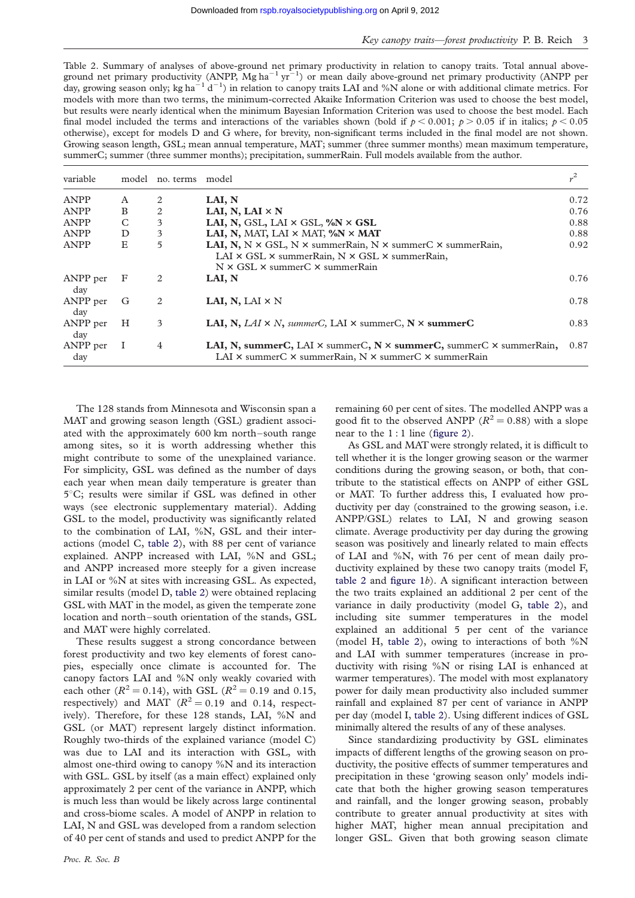<span id="page-2-0"></span>Table 2. Summary of analyses of above-ground net primary productivity in relation to canopy traits. Total annual aboveground net primary productivity (ANPP,  $Mg$  ha<sup>-1</sup> yr<sup>-1</sup>) or mean daily above-ground net primary productivity (ANPP per day, growing season only; kg ha<sup>-1</sup> d<sup>-1</sup>) in relation to canopy traits LAI and %N alone or with additional climate metrics. For models with more than two terms, the minimum-corrected Akaike Information Criterion was used to choose the best model, but results were nearly identical when the minimum Bayesian Information Criterion was used to choose the best model. Each final model included the terms and interactions of the variables shown (bold if  $p < 0.001$ ;  $p > 0.05$  if in italics;  $p < 0.05$ otherwise), except for models D and G where, for brevity, non-significant terms included in the final model are not shown. Growing season length, GSL; mean annual temperature, MAT; summer (three summer months) mean maximum temperature, summerC; summer (three summer months); precipitation, summerRain. Full models available from the author.

| variable        |              | model no terms model |                                                                                                                                                                                                                              | $r^2$ |
|-----------------|--------------|----------------------|------------------------------------------------------------------------------------------------------------------------------------------------------------------------------------------------------------------------------|-------|
| <b>ANPP</b>     | A            | 2                    | LAI, N                                                                                                                                                                                                                       | 0.72  |
| <b>ANPP</b>     | B            | 2                    | LAI, N, LAI $\times$ N                                                                                                                                                                                                       | 0.76  |
| <b>ANPP</b>     | C            | 3                    | LAI, N, GSL, LAI $\times$ GSL, $\%N \times$ GSL                                                                                                                                                                              | 0.88  |
| ANPP            | D            | 3                    | LAI, N, MAT, LAI $\times$ MAT, $\%N \times MAT$                                                                                                                                                                              | 0.88  |
| ANPP            | E            | 5                    | LAI, N, N $\times$ GSL, N $\times$ summerRain, N $\times$ summerC $\times$ summerRain,<br>LAI $\times$ GSL $\times$ summer Rain, N $\times$ GSL $\times$ summer Rain,<br>$N \times GSL \times$ summer $C \times$ summer Rain | 0.92  |
| ANPP per<br>day | $\mathbf{F}$ | 2                    | LAI, N                                                                                                                                                                                                                       | 0.76  |
| ANPP per<br>day | G            | 2                    | LAI, N, LAI $\times$ N                                                                                                                                                                                                       | 0.78  |
| ANPP per<br>day | H            | 3                    | <b>LAI, N,</b> <i>LAI</i> $\times$ <i>N</i> , <i>summerC</i> , <i>LAI</i> $\times$ <i>summerC</i> , <b>N</b> $\times$ <b>summerC</b>                                                                                         | 0.83  |
| ANPP per<br>day |              | 4                    | <b>LAI, N, summerC, LAI <math>\times</math> summerC, N <math>\times</math> summerC, summerC <math>\times</math> summerRain,</b><br>LAI $\times$ summerC $\times$ summerRain, N $\times$ summerC $\times$ summerRain          | 0.87  |

The 128 stands from Minnesota and Wisconsin span a MAT and growing season length (GSL) gradient associated with the approximately 600 km north-south range among sites, so it is worth addressing whether this might contribute to some of the unexplained variance. For simplicity, GSL was defined as the number of days each year when mean daily temperature is greater than 5°C; results were similar if GSL was defined in other ways (see electronic supplementary material). Adding GSL to the model, productivity was significantly related to the combination of LAI, %N, GSL and their interactions (model C, table 2), with 88 per cent of variance explained. ANPP increased with LAI, %N and GSL; and ANPP increased more steeply for a given increase in LAI or %N at sites with increasing GSL. As expected, similar results (model D, table 2) were obtained replacing GSL with MAT in the model, as given the temperate zone location and north-south orientation of the stands, GSL and MAT were highly correlated.

These results suggest a strong concordance between forest productivity and two key elements of forest canopies, especially once climate is accounted for. The canopy factors LAI and %N only weakly covaried with each other ( $R^2 = 0.14$ ), with GSL ( $R^2 = 0.19$  and 0.15, respectively) and MAT  $(R^2 = 0.19$  and 0.14, respectively). Therefore, for these 128 stands, LAI, %N and GSL (or MAT) represent largely distinct information. Roughly two-thirds of the explained variance (model C) was due to LAI and its interaction with GSL, with almost one-third owing to canopy %N and its interaction with GSL. GSL by itself (as a main effect) explained only approximately 2 per cent of the variance in ANPP, which is much less than would be likely across large continental and cross-biome scales. A model of ANPP in relation to LAI, N and GSL was developed from a random selection of 40 per cent of stands and used to predict ANPP for the

remaining 60 per cent of sites. The modelled ANPP was a good fit to the observed ANPP ( $R^2 = 0.88$ ) with a slope near to the  $1:1$  line ([figure 2](#page-4-0)).

As GSL and MAT were strongly related, it is difficult to tell whether it is the longer growing season or the warmer conditions during the growing season, or both, that contribute to the statistical effects on ANPP of either GSL or MAT. To further address this, I evaluated how productivity per day (constrained to the growing season, i.e. ANPP/GSL) relates to LAI, N and growing season climate. Average productivity per day during the growing season was positively and linearly related to main effects of LAI and %N, with 76 per cent of mean daily productivity explained by these two canopy traits (model F, table 2 and figure  $1b$ ). A significant interaction between the two traits explained an additional 2 per cent of the variance in daily productivity (model G, table 2), and including site summer temperatures in the model explained an additional 5 per cent of the variance (model H, table 2), owing to interactions of both %N and LAI with summer temperatures (increase in productivity with rising %N or rising LAI is enhanced at warmer temperatures). The model with most explanatory power for daily mean productivity also included summer rainfall and explained 87 per cent of variance in ANPP per day (model I, table 2). Using different indices of GSL minimally altered the results of any of these analyses.

Since standardizing productivity by GSL eliminates impacts of different lengths of the growing season on productivity, the positive effects of summer temperatures and precipitation in these 'growing season only' models indicate that both the higher growing season temperatures and rainfall, and the longer growing season, probably contribute to greater annual productivity at sites with higher MAT, higher mean annual precipitation and longer GSL. Given that both growing season climate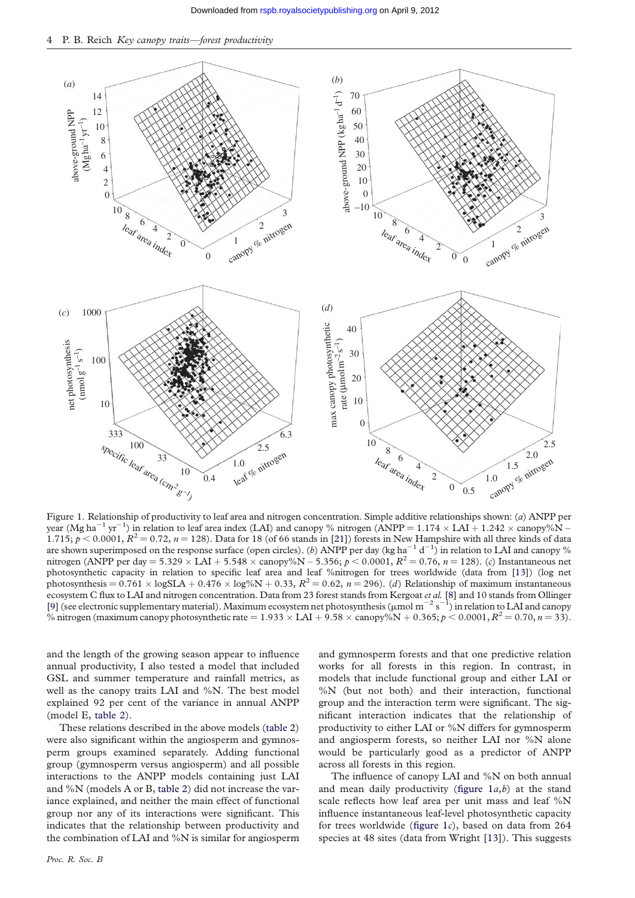<span id="page-3-0"></span>

Figure 1. Relationship of productivity to leaf area and nitrogen concentration. Simple additive relationships shown: (a) ANPP per year (Mg ha<sup>-1</sup> yr<sup>-1</sup>) in relation to leaf area index (LAI) and canopy % nitrogen (ANPP = 1.174  $\times$  LAI + 1.242  $\times$  canopy%N -1.715;  $p \le 0.0001$ ,  $R^2 = 0.72$ ,  $n = 128$ ). Data for 18 (of 66 stands in [\[21](#page-5-0)]) forests in New Hampshire with all three kinds of data are shown superimposed on the response surface (open circles). (b) ANPP per day (kg ha<sup>-1</sup> d<sup>-1</sup>) in relation to LAI and canopy % nitrogen (ANPP per day = 5.329  $\times$  LAI + 5.548  $\times$  canopy%N – 5.356;  $p < 0.0001$ ,  $R^2 = 0.76$ ,  $n = 128$ ). (c) Instantaneous net photosynthetic capacity in relation to specific leaf area and leaf %nitrogen for trees worldwide (data from [\[13\]](#page-5-0)) (log net photosynthesis =  $0.761 \times \text{logSLA} + 0.476 \times \text{log} \%N + 0.33$ ,  $R^2 = 0.62$ ,  $n = 296$ ). (d) Relationship of maximum instantaneous ecosystem C flux to LAI and nitrogen concentration. Data from 23 forest stands from Kergoat et al. [\[8](#page-5-0)] and 10 stands from Ollinger [\[9\]](#page-5-0) (see electronic supplementary material). Maximum ecosystem net photosynthesis ( $\mu$ mol m<sup>-2</sup> s<sup>-1</sup>) in relation to LAI and canopy % nitrogen (maximum canopy photosynthetic rate =  $1.933 \times LAI + 9.58 \times$  canopy% $N + 0.365; p < 0.0001, R^2 = 0.70, n = 33$ ).

and the length of the growing season appear to influence annual productivity, I also tested a model that included GSL and summer temperature and rainfall metrics, as well as the canopy traits LAI and %N. The best model explained 92 per cent of the variance in annual ANPP (model E, [table 2](#page-2-0)).

These relations described in the above models [\(table 2](#page-2-0)) were also significant within the angiosperm and gymnosperm groups examined separately. Adding functional group (gymnosperm versus angiosperm) and all possible interactions to the ANPP models containing just LAI and %N (models A or B, [table 2\)](#page-2-0) did not increase the variance explained, and neither the main effect of functional group nor any of its interactions were significant. This indicates that the relationship between productivity and the combination of LAI and %N is similar for angiosperm

and gymnosperm forests and that one predictive relation works for all forests in this region. In contrast, in models that include functional group and either LAI or %N (but not both) and their interaction, functional group and the interaction term were significant. The significant interaction indicates that the relationship of productivity to either LAI or %N differs for gymnosperm and angiosperm forests, so neither LAI nor %N alone would be particularly good as a predictor of ANPP across all forests in this region.

The influence of canopy LAI and %N on both annual and mean daily productivity (figure  $1a,b$ ) at the stand scale reflects how leaf area per unit mass and leaf %N influence instantaneous leaf-level photosynthetic capacity for trees worldwide (figure 1c), based on data from  $264$ species at 48 sites (data from Wright [[13](#page-5-0)]). This suggests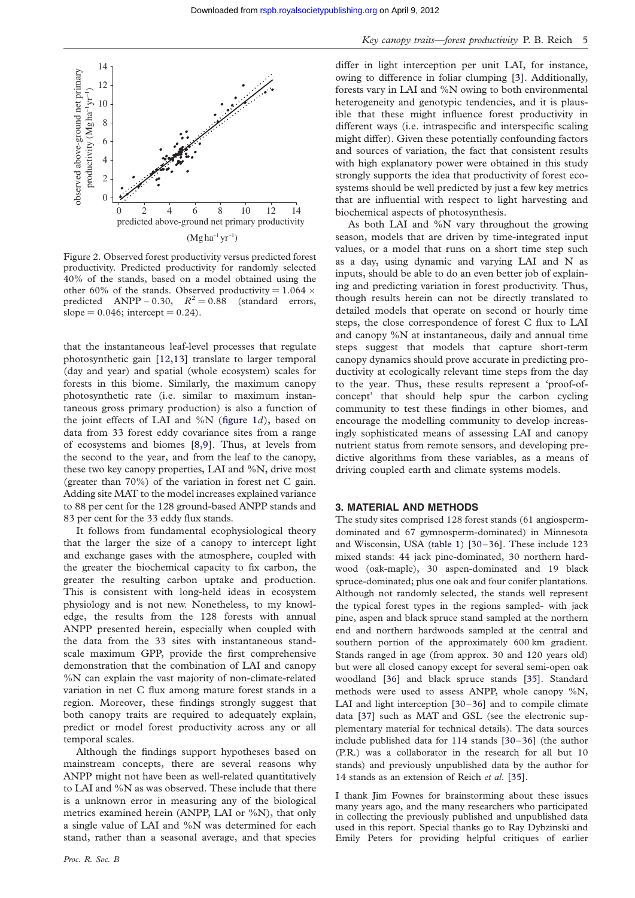<span id="page-4-0"></span>

Figure 2. Observed forest productivity versus predicted forest productivity. Predicted productivity for randomly selected 40% of the stands, based on a model obtained using the other 60% of the stands. Observed productivity =  $1.064 \times$ predicted ANPP – 0.30,  $R^2 = 0.88$  (standard errors, slope  $= 0.046$ ; intercept  $= 0.24$ ).

that the instantaneous leaf-level processes that regulate photosynthetic gain [\[12,13](#page-5-0)] translate to larger temporal (day and year) and spatial (whole ecosystem) scales for forests in this biome. Similarly, the maximum canopy photosynthetic rate (i.e. similar to maximum instantaneous gross primary production) is also a function of the joint effects of LAI and %N (figure  $1d$ ), based on data from 33 forest eddy covariance sites from a range of ecosystems and biomes [\[8,9](#page-5-0)]. Thus, at levels from the second to the year, and from the leaf to the canopy, these two key canopy properties, LAI and %N, drive most (greater than 70%) of the variation in forest net C gain. Adding site MAT to the model increases explained variance to 88 per cent for the 128 ground-based ANPP stands and 83 per cent for the 33 eddy flux stands.

It follows from fundamental ecophysiological theory that the larger the size of a canopy to intercept light and exchange gases with the atmosphere, coupled with the greater the biochemical capacity to fix carbon, the greater the resulting carbon uptake and production. This is consistent with long-held ideas in ecosystem physiology and is not new. Nonetheless, to my knowledge, the results from the 128 forests with annual ANPP presented herein, especially when coupled with the data from the 33 sites with instantaneous standscale maximum GPP, provide the first comprehensive demonstration that the combination of LAI and canopy %N can explain the vast majority of non-climate-related variation in net C flux among mature forest stands in a region. Moreover, these findings strongly suggest that both canopy traits are required to adequately explain, predict or model forest productivity across any or all temporal scales.

Although the findings support hypotheses based on mainstream concepts, there are several reasons why ANPP might not have been as well-related quantitatively to LAI and %N as was observed. These include that there is a unknown error in measuring any of the biological metrics examined herein (ANPP, LAI or %N), that only a single value of LAI and %N was determined for each stand, rather than a seasonal average, and that species differ in light interception per unit LAI, for instance, owing to difference in foliar clumping [[3](#page-5-0)]. Additionally, forests vary in LAI and %N owing to both environmental heterogeneity and genotypic tendencies, and it is plausible that these might influence forest productivity in different ways (i.e. intraspecific and interspecific scaling might differ). Given these potentially confounding factors and sources of variation, the fact that consistent results with high explanatory power were obtained in this study strongly supports the idea that productivity of forest ecosystems should be well predicted by just a few key metrics that are influential with respect to light harvesting and biochemical aspects of photosynthesis.

As both LAI and %N vary throughout the growing season, models that are driven by time-integrated input values, or a model that runs on a short time step such as a day, using dynamic and varying LAI and N as inputs, should be able to do an even better job of explaining and predicting variation in forest productivity. Thus, though results herein can not be directly translated to detailed models that operate on second or hourly time steps, the close correspondence of forest C flux to LAI and canopy %N at instantaneous, daily and annual time steps suggest that models that capture short-term canopy dynamics should prove accurate in predicting productivity at ecologically relevant time steps from the day to the year. Thus, these results represent a 'proof-ofconcept' that should help spur the carbon cycling community to test these findings in other biomes, and encourage the modelling community to develop increasingly sophisticated means of assessing LAI and canopy nutrient status from remote sensors, and developing predictive algorithms from these variables, as a means of driving coupled earth and climate systems models.

#### 3. MATERIAL AND METHODS

The study sites comprised 128 forest stands (61 angiospermdominated and 67 gymnosperm-dominated) in Minnesota and Wisconsin, USA ([table 1\)](#page-1-0) [\[30](#page-5-0)–[36](#page-6-0)]. These include 123 mixed stands: 44 jack pine-dominated, 30 northern hardwood (oak-maple), 30 aspen-dominated and 19 black spruce-dominated; plus one oak and four conifer plantations. Although not randomly selected, the stands well represent the typical forest types in the regions sampled- with jack pine, aspen and black spruce stand sampled at the northern end and northern hardwoods sampled at the central and southern portion of the approximately 600 km gradient. Stands ranged in age (from approx. 30 and 120 years old) but were all closed canopy except for several semi-open oak woodland [\[36](#page-6-0)] and black spruce stands [[35\]](#page-6-0). Standard methods were used to assess ANPP, whole canopy %N, LAI and light interception [[30](#page-5-0)–[36\]](#page-6-0) and to compile climate data [[37\]](#page-6-0) such as MAT and GSL (see the electronic supplementary material for technical details). The data sources include published data for 114 stands [\[30](#page-5-0)–[36\]](#page-6-0) (the author (P.R.) was a collaborator in the research for all but 10 stands) and previously unpublished data by the author for 14 stands as an extension of Reich et al. [\[35](#page-6-0)].

I thank Jim Fownes for brainstorming about these issues many years ago, and the many researchers who participated in collecting the previously published and unpublished data used in this report. Special thanks go to Ray Dybzinski and Emily Peters for providing helpful critiques of earlier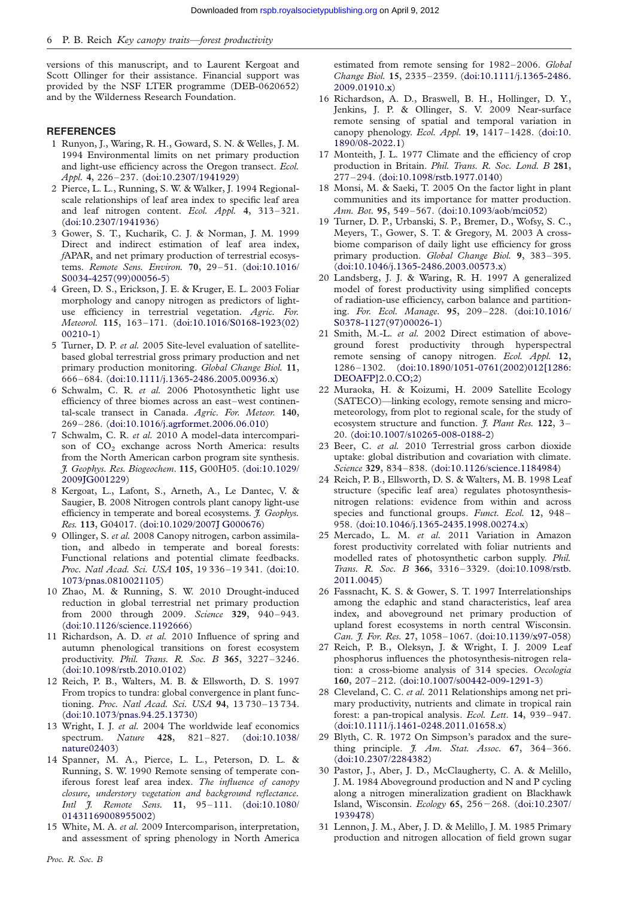<span id="page-5-0"></span>versions of this manuscript, and to Laurent Kergoat and Scott Ollinger for their assistance. Financial support was provided by the NSF LTER programme (DEB-0620652) and by the Wilderness Research Foundation.

## **REFERENCES**

- 1 Runyon, J., Waring, R. H., Goward, S. N. & Welles, J. M. 1994 Environmental limits on net primary production and light-use efficiency across the Oregon transect. Ecol. Appl. 4, 226-237. ([doi:10.2307/1941929](http://dx.doi.org/10.2307/1941929))
- 2 Pierce, L. L., Running, S. W. & Walker, J. 1994 Regionalscale relationships of leaf area index to specific leaf area and leaf nitrogen content. Ecol. Appl. 4, 313-321. [\(doi:10.2307/1941936\)](http://dx.doi.org/10.2307/1941936)
- 3 Gower, S. T., Kucharik, C. J. & Norman, J. M. 1999 Direct and indirect estimation of leaf area index, fAPAR, and net primary production of terrestrial ecosystems. Remote Sens. Environ. 70, 29–51. ([doi:10.1016/](http://dx.doi.org/10.1016/S0034-4257(99)00056-5) [S0034-4257\(99\)00056-5\)](http://dx.doi.org/10.1016/S0034-4257(99)00056-5)
- 4 Green, D. S., Erickson, J. E. & Kruger, E. L. 2003 Foliar morphology and canopy nitrogen as predictors of lightuse efficiency in terrestrial vegetation. Agric. For. Meteorol. 115, 163-171. ([doi:10.1016/S0168-1923\(02\)](http://dx.doi.org/10.1016/S0168-1923(02)00210-1) [00210-1\)](http://dx.doi.org/10.1016/S0168-1923(02)00210-1)
- 5 Turner, D. P. et al. 2005 Site-level evaluation of satellitebased global terrestrial gross primary production and net primary production monitoring. Global Change Biol. 11, 666–684. ([doi:10.1111/j.1365-2486.2005.00936.x\)](http://dx.doi.org/10.1111/j.1365-2486.2005.00936.x)
- 6 Schwalm, C. R. et al. 2006 Photosynthetic light use efficiency of three biomes across an east–west continental-scale transect in Canada. Agric. For. Meteor. 140, 269–286. ([doi:10.1016/j.agrformet.2006.06.010\)](http://dx.doi.org/10.1016/j.agrformet.2006.06.010)
- 7 Schwalm, C. R. et al. 2010 A model-data intercomparison of  $CO<sub>2</sub>$  exchange across North America: results from the North American carbon program site synthesis. J. Geophys. Res. Biogeochem. 115, G00H05. ([doi:10.1029/](http://dx.doi.org/10.1029/2009JG001229) [2009JG001229](http://dx.doi.org/10.1029/2009JG001229))
- 8 Kergoat, L., Lafont, S., Arneth, A., Le Dantec, V. & Saugier, B. 2008 Nitrogen controls plant canopy light-use efficiency in temperate and boreal ecosystems. J. Geophys. Res. 113, G04017. [\(doi:10.1029/2007J G000676\)](http://dx.doi.org/10.1029/2007JG000676)
- 9 Ollinger, S. et al. 2008 Canopy nitrogen, carbon assimilation, and albedo in temperate and boreal forests: Functional relations and potential climate feedbacks. Proc. Natl Acad. Sci. USA 105, 19 336-19 341. [\(doi:10.](http://dx.doi.org/10.1073/pnas.0810021105) [1073/pnas.0810021105](http://dx.doi.org/10.1073/pnas.0810021105))
- 10 Zhao, M. & Running, S. W. 2010 Drought-induced reduction in global terrestrial net primary production from 2000 through 2009. Science 329, 940-943. ([doi:10.1126/science.1192666](http://dx.doi.org/10.1126/science.1192666))
- 11 Richardson, A. D. et al. 2010 Influence of spring and autumn phenological transitions on forest ecosystem productivity. Phil. Trans. R. Soc. B 365, 3227–3246. ([doi:10.1098/rstb.2010.0102](http://dx.doi.org/10.1098/rstb.2010.0102))
- 12 Reich, P. B., Walters, M. B. & Ellsworth, D. S. 1997 From tropics to tundra: global convergence in plant functioning. Proc. Natl Acad. Sci. USA 94, 13 730-13 734. ([doi:10.1073/pnas.94.25.13730](http://dx.doi.org/10.1073/pnas.94.25.13730))
- 13 Wright, I. J. et al. 2004 The worldwide leaf economics spectrum. Nature 428, 821–827. ([doi:10.1038/](http://dx.doi.org/10.1038/nature02403) [nature02403](http://dx.doi.org/10.1038/nature02403))
- 14 Spanner, M. A., Pierce, L. L., Peterson, D. L. & Running, S. W. 1990 Remote sensing of temperate coniferous forest leaf area index. The influence of canopy closure, understory vegetation and background reflectance. Intl J. Remote Sens. 11, 95–111. ([doi:10.1080/](http://dx.doi.org/10.1080/01431169008955002) [01431169008955002\)](http://dx.doi.org/10.1080/01431169008955002)
- 15 White, M. A. et al. 2009 Intercomparison, interpretation, and assessment of spring phenology in North America

estimated from remote sensing for 1982–2006. Global Change Biol. 15, 2335–2359. [\(doi:10.1111/j.1365-2486.](http://dx.doi.org/10.1111/j.1365-2486.2009.01910.x) [2009.01910.x\)](http://dx.doi.org/10.1111/j.1365-2486.2009.01910.x)

- 16 Richardson, A. D., Braswell, B. H., Hollinger, D. Y., Jenkins, J. P. & Ollinger, S. V. 2009 Near-surface remote sensing of spatial and temporal variation in canopy phenology. Ecol. Appl.  $19$ ,  $1417-1428$ . [\(doi:10.](http://dx.doi.org/10.1890/08-2022.1) [1890/08-2022.1](http://dx.doi.org/10.1890/08-2022.1))
- 17 Monteith, J. L. 1977 Climate and the efficiency of crop production in Britain. Phil. Trans. R. Soc. Lond. B 281, 277 –294. [\(doi:10.1098/rstb.1977.0140](http://dx.doi.org/10.1098/rstb.1977.0140))
- 18 Monsi, M. & Saeki, T. 2005 On the factor light in plant communities and its importance for matter production. Ann. Bot. 95, 549–567. ([doi:10.1093/aob/mci052](http://dx.doi.org/10.1093/aob/mci052))
- 19 Turner, D. P., Urbanski, S. P., Bremer, D., Wofsy, S. C., Meyers, T., Gower, S. T. & Gregory, M. 2003 A crossbiome comparison of daily light use efficiency for gross primary production. Global Change Biol. 9, 383-395. ([doi:10.1046/j.1365-2486.2003.00573.x\)](http://dx.doi.org/10.1046/j.1365-2486.2003.00573.x)
- 20 Landsberg, J. J. & Waring, R. H. 1997 A generalized model of forest productivity using simplified concepts of radiation-use efficiency, carbon balance and partitioning. For. Ecol. Manage. 95, 209–228. ([doi:10.1016/](http://dx.doi.org/10.1016/S0378-1127(97)00026-1) [S0378-1127\(97\)00026-1](http://dx.doi.org/10.1016/S0378-1127(97)00026-1))
- 21 Smith, M.-L. et al. 2002 Direct estimation of aboveground forest productivity through hyperspectral remote sensing of canopy nitrogen. Ecol. Appl. 12, 1286–1302. [\(doi:10.1890/1051-0761\(2002\)012\[1286:](http://dx.doi.org/10.1890/1051-0761(2002)012[1286:DEOAFP]2.0.CO;2) [DEOAFP\]2.0.CO;2](http://dx.doi.org/10.1890/1051-0761(2002)012[1286:DEOAFP]2.0.CO;2))
- 22 Muraoka, H. & Koizumi, H. 2009 Satellite Ecology (SATECO)—linking ecology, remote sensing and micrometeorology, from plot to regional scale, for the study of ecosystem structure and function. *J. Plant Res.* 122, 3-20. [\(doi:10.1007/s10265-008-0188-2](http://dx.doi.org/10.1007/s10265-008-0188-2))
- 23 Beer, C. et al. 2010 Terrestrial gross carbon dioxide uptake: global distribution and covariation with climate. Science 329, 834-838. ([doi:10.1126/science.1184984\)](http://dx.doi.org/10.1126/science.1184984)
- 24 Reich, P. B., Ellsworth, D. S. & Walters, M. B. 1998 Leaf structure (specific leaf area) regulates photosynthesisnitrogen relations: evidence from within and across species and functional groups. Funct. Ecol. 12, 948-958. [\(doi:10.1046/j.1365-2435.1998.00274.x](http://dx.doi.org/10.1046/j.1365-2435.1998.00274.x))
- 25 Mercado, L. M. et al. 2011 Variation in Amazon forest productivity correlated with foliar nutrients and modelled rates of photosynthetic carbon supply. Phil. Trans. R. Soc. B 366, 3316–3329. [\(doi:10.1098/rstb.](http://dx.doi.org/10.1098/rstb.2011.0045) [2011.0045\)](http://dx.doi.org/10.1098/rstb.2011.0045)
- 26 Fassnacht, K. S. & Gower, S. T. 1997 Interrelationships among the edaphic and stand characteristics, leaf area index, and aboveground net primary production of upland forest ecosystems in north central Wisconsin. Can. J. For. Res. 27, 1058-1067. ([doi:10.1139/x97-058](http://dx.doi.org/10.1139/x97-058))
- 27 Reich, P. B., Oleksyn, J. & Wright, I. J. 2009 Leaf phosphorus influences the photosynthesis-nitrogen relation: a cross-biome analysis of 314 species. Oecologia 160, 207 –212. [\(doi:10.1007/s00442-009-1291-3\)](http://dx.doi.org/10.1007/s00442-009-1291-3)
- 28 Cleveland, C. C. et al. 2011 Relationships among net primary productivity, nutrients and climate in tropical rain forest: a pan-tropical analysis. Ecol. Lett. 14, 939-947. ([doi:10.1111/j.1461-0248.2011.01658.x\)](http://dx.doi.org/10.1111/j.1461-0248.2011.01658.x)
- 29 Blyth, C. R. 1972 On Simpson's paradox and the surething principle.  $\tilde{J}$ . Am. Stat. Assoc. 67, 364-366. ([doi:10.2307/2284382](http://dx.doi.org/10.2307/2284382))
- 30 Pastor, J., Aber, J. D., McClaugherty, C. A. & Melillo, J. M. 1984 Aboveground production and N and P cycling along a nitrogen mineralization gradient on Blackhawk Island, Wisconsin. Ecology 65, 2562268. ([doi:10.2307/](http://dx.doi.org/10.2307/1939478) [1939478\)](http://dx.doi.org/10.2307/1939478)
- 31 Lennon, J. M., Aber, J. D. & Melillo, J. M. 1985 Primary production and nitrogen allocation of field grown sugar